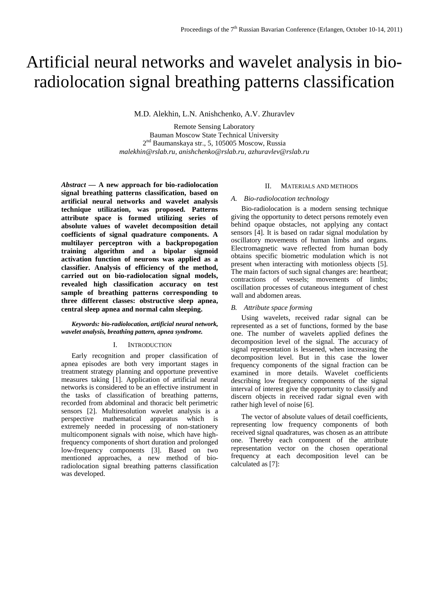# Artificial neural networks and wavelet analysis in bioradiolocation signal breathing patterns classification

M.D. Alekhin, L.N. Anishchenko, A.V. Zhuravlev

Remote Sensing Laboratory Bauman Moscow State Technical University  $2<sup>nd</sup>$  Baumanskaya str., 5, 105005 Moscow, Russia *malekhin@rslab.ru, anishchenko@rslab.ru, azhuravlev@rslab.ru*

*Abstract —* **A new approach for bio-radiolocation signal breathing patterns classification, based on artificial neural networks and wavelet analysis technique utilization, was proposed. Patterns attribute space is formed utilizing series of absolute values of wavelet decomposition detail coefficients of signal quadrature components. A multilayer perceptron with a backpropogation training algorithm and a bipolar sigmoid activation function of neurons was applied as a classifier. Analysis of efficiency of the method, carried out on bio-radiolocation signal models, revealed high classification accuracy on test sample of breathing patterns corresponding to three different classes: obstructive sleep apnea, central sleep apnea and normal calm sleeping.**

*Keywords: bio-radiolocation, artificial neural network, wavelet analysis, breathing pattern, apnea syndrome.*

## I. INTRODUCTION

Early recognition and proper classification of apnea episodes are both very important stages in treatment strategy planning and opportune preventive measures taking [1]. Application of artificial neural networks is considered to be an effective instrument in the tasks of classification of breathing patterns, recorded from abdominal and thoracic belt perimetric sensors [2]. Multiresolution wavelet analysis is a perspective mathematical apparatus which is extremely needed in processing of non-stationery multicomponent signals with noise, which have highfrequency components of short duration and prolonged low-frequency components [3]. Based on two mentioned approaches, a new method of bioradiolocation signal breathing patterns classification was developed.

# II. MATERIALS AND METHODS

# *A. Bio-radiolocation technology*

Bio-radiolocation is a modern sensing technique giving the opportunity to detect persons remotely even behind opaque obstacles, not applying any contact sensors [4]. It is based on radar signal modulation by oscillatory movements of human limbs and organs. Electromagnetic wave reflected from human body obtains specific biometric modulation which is not present when interacting with motionless objects [5]. The main factors of such signal changes are: heartbeat; contractions of vessels; movements of limbs; oscillation processes of cutaneous integument of chest wall and abdomen areas.

#### *B. Attribute space forming*

Using wavelets, received radar signal can be represented as a set of functions, formed by the base one. The number of wavelets applied defines the decomposition level of the signal. The accuracy of signal representation is lessened, when increasing the decomposition level. But in this case the lower frequency components of the signal fraction can be examined in more details. Wavelet coefficients describing low frequency components of the signal interval of interest give the opportunity to classify and discern objects in received radar signal even with rather high level of noise [6].

The vector of absolute values of detail coefficients, representing low frequency components of both received signal quadratures, was chosen as an attribute one. Thereby each component of the attribute representation vector on the chosen operational frequency at each decomposition level can be calculated as [7]: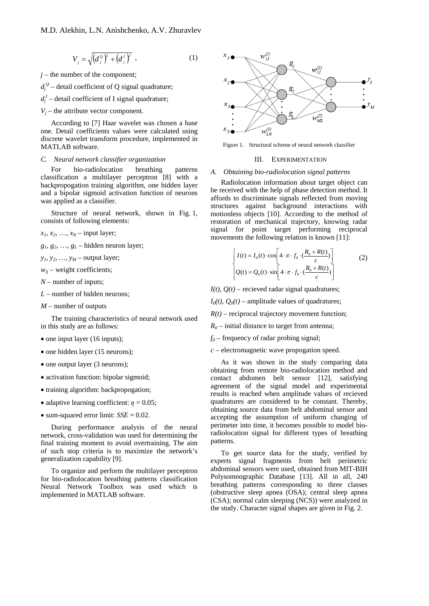$$
V_{j} = \sqrt{\left(d_{j}^{o}\right)^{2} + \left(d_{j}^{t}\right)^{2}} \tag{1}
$$

 $j$  – the number of the component;

 $d_j^Q$  – detail coefficient of Q signal quadrature;

 $d_j^I$  – detail coefficient of I signal quadrature;

 $V_i$  – the attribute vector component.

According to [7] Haar wavelet was chosen a base one. Detail coefficients values were calculated using discrete wavelet transform procedure, implemented in MATLAB software.

## *C. Neural network classifier organization*

For bio-radiolocation breathing patterns classification a multilayer perceptron [8] with a backpropogation training algorithm, one hidden layer and a bipolar sigmoid activation function of neurons was applied as a classifier.

Structure of neural network, shown in Fig. 1, consists of following elements:

 $x_1, x_2, \ldots, x_N$  – input layer;

 $g_1, g_2, \ldots, g_L$  – hidden neuron layer;

 $y_1, y_2, \ldots, y_M$  – output layer;

 $w_{ii}$  – weight coefficients;

*N* – number of inputs;

*L* – number of hidden neurons;

*M* – number of outputs

The training characteristics of neural network used in this study are as follows:

- one input layer (16 inputs);
- one hidden layer (15 neurons);
- one output layer (3 neurons);
- activation function: bipolar sigmoid;
- training algorithm: backpropogation;
- adaptive learning coefficient:  $\eta = 0.05$ ;
- sum-squared error limit: *SSE* = 0.02.

During performance analysis of the neural network, cross-validation was used for determining the final training moment to avoid overtraining. The aim of such stop criteria is to maximize the network's generalization capability [9].

To organize and perform the multilayer perceptron for bio-radiolocation breathing patterns classification Neural Network Toolbox was used which is implemented in MATLAB software.



Figure 1. Structural scheme of neural network classifier

#### III. EXPERIMENTATION

## *A. Obtaining bio-radiolocation signal patterns*

Radiolocation information about target object can be received with the help of phase detection method. It affords to discriminate signals reflected from moving structures against background interactions with motionless objects [10]. According to the method of restoration of mechanical trajectory, knowing radar signal for point target performing reciprocal movements the following relation is known [11]:

$$
\begin{cases}\nI(t) = I_0(t) \cdot \cos\left[4 \cdot \pi \cdot f_0 \cdot \left(\frac{R_0 + R(t)}{c}\right)\right] & (2) \\
Q(t) = Q_0(t) \cdot \sin\left[4 \cdot \pi \cdot f_0 \cdot \left(\frac{R_0 + R(t)}{c}\right)\right]\n\end{cases}
$$

 $I(t)$ ,  $O(t)$  – recieved radar signal quadratures;

 $I_0(t)$ ,  $Q_0(t)$  – amplitude values of quadratures;

 $R(t)$  – reciprocal trajectory movement function;

 $R_0$  – initial distance to target from antenna;

 $f_0$  – frequency of radar probing signal;

*c* – electromagnetic wave propogation speed.

As it was shown in the study comparing data obtaining from remote bio-radiolocation method and contact abdomen belt sensor [12], satisfying agreement of the signal model and experimental results is reached when amplitude values of recieved quadratures are considered to be constant. Thereby, obtaining source data from belt abdominal sensor and accepting the assumption of uniform changing of perimeter into time, it becomes possible to model bioradiolocation signal for different types of breathing patterns.

To get source data for the study, verified by experts signal fragments from belt perimetric abdominal sensors were used, obtained from MIT-BIH Polysomnographic Database [13]. All in all, 240 breathing patterns corresponding to three classes (obstructive sleep apnea (OSA); central sleep apnea (CSA); normal calm sleeping (NCS)) were analyzed in the study. Character signal shapes are given in Fig. 2.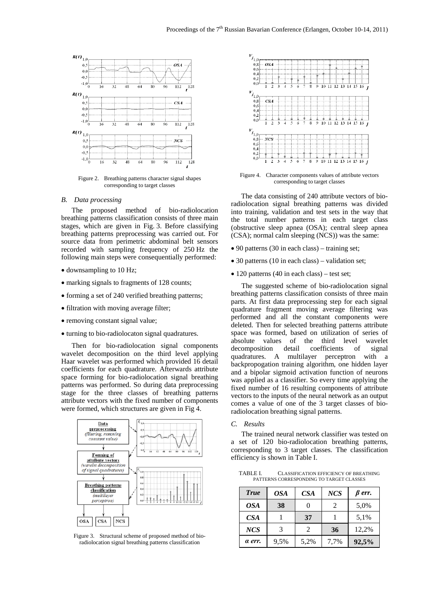

Figure 2. Breathing patterns character signal shapes corresponding to target classes

## *B. Data processing*

The proposed method of bio-radiolocation breathing patterns classification consists of three main stages, which are given in Fig. 3. Before classifying breathing patterns preprocessing was carried out. For source data from perimetric abdominal belt sensors recorded with sampling frequency of 250 Hz the following main steps were consequentially performed:

- downsampling to 10 Hz;
- marking signals to fragments of 128 counts;
- forming a set of 240 verified breathing patterns;
- filtration with moving average filter;
- removing constant signal value;
- turning to bio-radiolocaton signal quadratures.

Then for bio-radiolocation signal components wavelet decomposition on the third level applying Haar wavelet was performed which provided 16 detail coefficients for each quadrature. Afterwards attribute space forming for bio-radiolocation signal breathing patterns was performed. So during data preprocessing stage for the three classes of breathing patterns attribute vectors with the fixed number of components were formed, which structures are given in Fig 4.



Figure 3. Structural scheme of proposed method of bioradiolocation signal breathing patterns classification



Figure 4. Character components values of attribute vectors corresponding to target classes

The data consisting of 240 attribute vectors of bioradiolocation signal breathing patterns was divided into training, validation and test sets in the way that the total number patterns in each target class (obstructive sleep apnea (OSA); central sleep apnea (CSA); normal calm sleeping (NCS)) was the same:

- 90 patterns (30 in each class) training set;
- 30 patterns (10 in each class) validation set;
- 120 patterns (40 in each class) test set;

The suggested scheme of bio-radiolocation signal breathing patterns classification consists of three main parts. At first data preprocessing step for each signal quadrature fragment moving average filtering was performed and all the constant components were deleted. Then for selected breathing patterns attribute space was formed, based on utilization of series of absolute values of the third level wavelet decomposition detail coefficients of signal quadratures. A multilayer perceptron with a backpropogation training algorithm, one hidden layer and a bipolar sigmoid activation function of neurons was applied as a classifier. So every time applying the fixed number of 16 resulting components of attribute vectors to the inputs of the neural network as an output comes a value of one of the 3 target classes of bioradiolocation breathing signal patterns.

*C. Results*

The trained neural network classifier was tested on a set of 120 bio-radiolocation breathing patterns, corresponding to 3 target classes. The classification efficiency is shown in Table I.

TABLE I. CLASSIFICATION EFFICIENCY OF BREATHING PATTERNS CORRESPONDING TO TARGET CLASSES

| <b>True</b>     | <i>OSA</i> | CS <sub>A</sub> | <b>NCS</b> | $\beta$ err. |
|-----------------|------------|-----------------|------------|--------------|
| <b>OSA</b>      | 38         |                 | 2          | 5,0%         |
| CS <sub>A</sub> |            | 37              |            | 5,1%         |
| <b>NCS</b>      | 3          | $\mathfrak{D}$  | 36         | 12,2%        |
| a err.          | 9,5%       | 5,2%            | 7,7%       | 92,5%        |